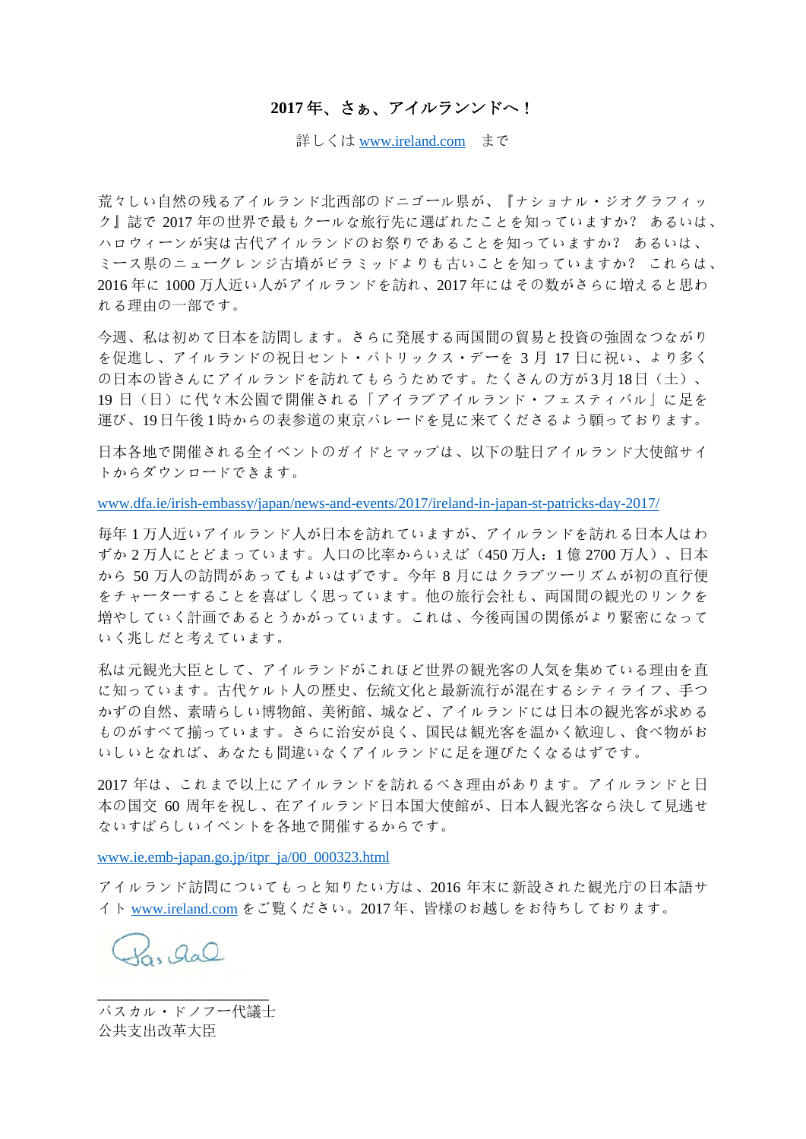# **2017** 年、さぁ、アイルランンドへ!

詳しくは [www.ireland.com](http://www.ireland.com/) まで

荒々しい自然の残るアイルランド北西部のドニゴール県が、『ナショナル・ジオグラフィッ ク』誌で 2017 年の世界で最もクールな旅行先に選ばれたことを知っていますか? あるいは、 ハロウィーンが実は古代アイルランドのお祭りであることを知っていますか? あるいは、 ミース県のニューグレンジ古墳がピラミッドよりも古いことを知っていますか? これらは、 2016 年に 1000 万人近い人がアイルランドを訪れ、2017 年にはその数がさらに増えると思わ れる理由の一部です。

今週、私は初めて日本を訪問します。さらに発展する両国間の貿易と投資の強固なつながり を促進し、アイルランドの祝日セント・パトリックス・デーを 3 月 17 日に祝い、より多く の日本の皆さんにアイルランドを訪れてもらうためです。たくさんの方が3月18日(土)、 19 日(日)に代々木公園で開催される「アイラブアイルランド・フェスティバル」に足を 運び、19日午後 1時からの表参道の東京パレードを見に来てくださるよう願っております。

日本各地で開催される全イベントのガイドとマップは、以下の駐日アイルランド大使館サイ トからダウンロードできます。

www.dfa.ie/irish-embassy/japan/news-and-events/2017/ireland-in-japan-st-patricks-day-2017/

毎年 1 万人近いアイルランド人が日本を訪れていますが、アイルランドを訪れる日本人はわ ずか 2 万人にとどまっています。人口の比率からいえば(450 万人:1 億 2700 万人)、日本 から 50 万人の訪問があってもよいはずです。今年 8 月にはクラブツーリズムが初の直行便 をチャーターすることを喜ばしく思っています。他の旅行会社も、両国間の観光のリンクを 増やしていく計画であるとうかがっています。これは、今後両国の関係がより緊密になって いく兆しだと考えています。

私は元観光大臣として、アイルランドがこれほど世界の観光客の人気を集めている理由を直 に知っています。古代ケルト人の歴史、伝統文化と最新流行が混在するシティライフ、手つ かずの自然、素晴らしい博物館、美術館、城など、アイルランドには日本の観光客が求める ものがすべて揃っています。さらに治安が良く、国民は観光客を温かく歓迎し、食べ物がお いしいとなれば、あなたも間違いなくアイルランドに足を運びたくなるはずです。

2017 年は、これまで以上にアイルランドを訪れるべき理由があります。アイルランドと日 本の国交 60 周年を祝し、在アイルランド日本国大使館が、日本人観光客なら決して見逃せ ないすばらしいイベントを各地で開催するからです。

www.ie.emb-japan.go.jp/itpr\_ja/00\_000323.html

アイルランド訪問についてもっと知りたい方は、2016 年末に新設された観光庁の日本語サ イト [www.ireland.com](http://www.ireland.com/) をご覧ください。2017 年、皆様のお越しをお待ちしております。

 $H_0, Q_0 Q$ 

パスカル・ドノフー代議士 公共支出改革大臣

\_\_\_\_\_\_\_\_\_\_\_\_\_\_\_\_\_\_\_\_\_\_\_